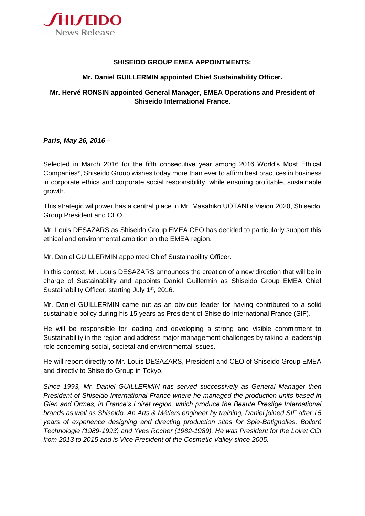

## **SHISEIDO GROUP EMEA APPOINTMENTS:**

## **Mr. Daniel GUILLERMIN appointed Chief Sustainability Officer.**

## **Mr. Hervé RONSIN appointed General Manager, EMEA Operations and President of Shiseido International France.**

*Paris, May 26, 2016 –*

Selected in March 2016 for the fifth consecutive year among 2016 World's Most Ethical Companies\*, Shiseido Group wishes today more than ever to affirm best practices in business in corporate ethics and corporate social responsibility, while ensuring profitable, sustainable growth.

This strategic willpower has a central place in Mr. Masahiko UOTANI's Vision 2020, Shiseido Group President and CEO.

Mr. Louis DESAZARS as Shiseido Group EMEA CEO has decided to particularly support this ethical and environmental ambition on the EMEA region.

## Mr. Daniel GUILLERMIN appointed Chief Sustainability Officer.

In this context, Mr. Louis DESAZARS announces the creation of a new direction that will be in charge of Sustainability and appoints Daniel Guillermin as Shiseido Group EMEA Chief Sustainability Officer, starting July 1<sup>st</sup>, 2016.

Mr. Daniel GUILLERMIN came out as an obvious leader for having contributed to a solid sustainable policy during his 15 years as President of Shiseido International France (SIF).

He will be responsible for leading and developing a strong and visible commitment to Sustainability in the region and address major management challenges by taking a leadership role concerning social, societal and environmental issues.

He will report directly to Mr. Louis DESAZARS, President and CEO of Shiseido Group EMEA and directly to Shiseido Group in Tokyo.

*Since 1993, Mr. Daniel GUILLERMIN has served successively as General Manager then President of Shiseido International France where he managed the production units based in Gien and Ormes, in France's Loiret region, which produce the Beaute Prestige International brands as well as Shiseido. An Arts & Métiers engineer by training, Daniel joined SIF after 15 years of experience designing and directing production sites for Spie-Batignolles, Bolloré Technologie (1989-1993) and Yves Rocher (1982-1989). He was President for the Loiret CCI from 2013 to 2015 and is Vice President of the Cosmetic Valley since 2005.*